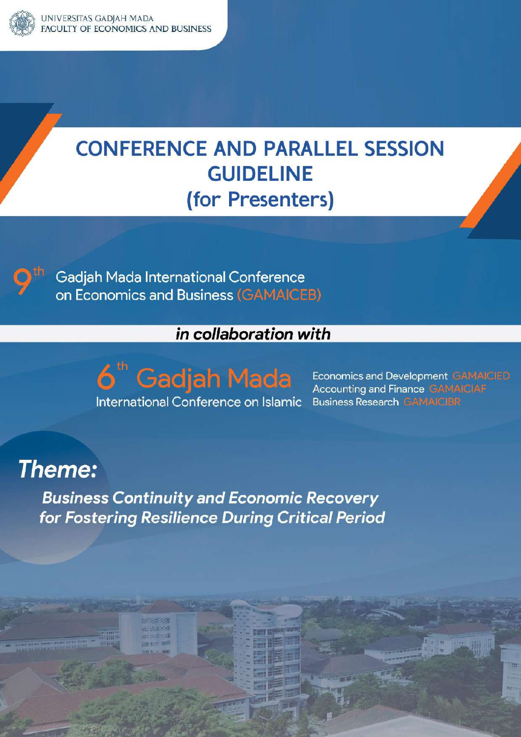

# **CONFERENCE AND PARALLEL SESSION GUIDELINE** (for Presenters)

**Gadjah Mada International Conference** on Economics and Business (GAMAICEB)

## in collaboration with

6<sup>th</sup> Gadjah Mada International Conference on Islamic

**Economics and Development GAMAICIED Accounting and Finance GAMAICIAF Business Research GAMAICIBR** 

## **Theme:**

**Business Continuity and Economic Recovery** for Fostering Resilience During Critical Period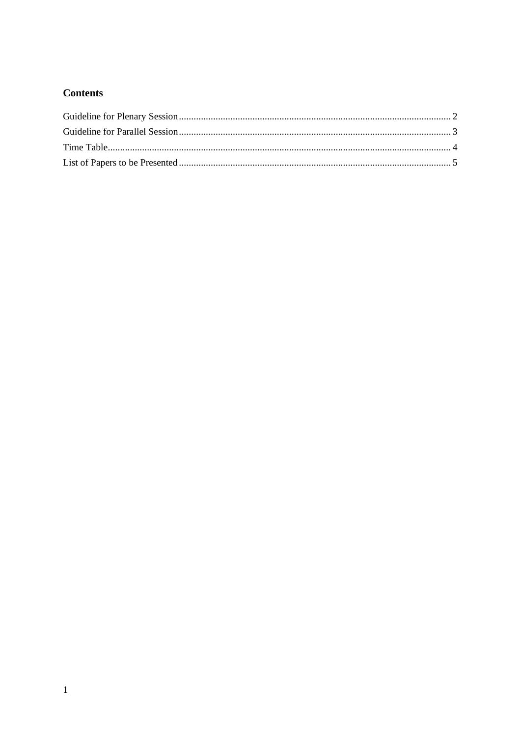#### **Contents**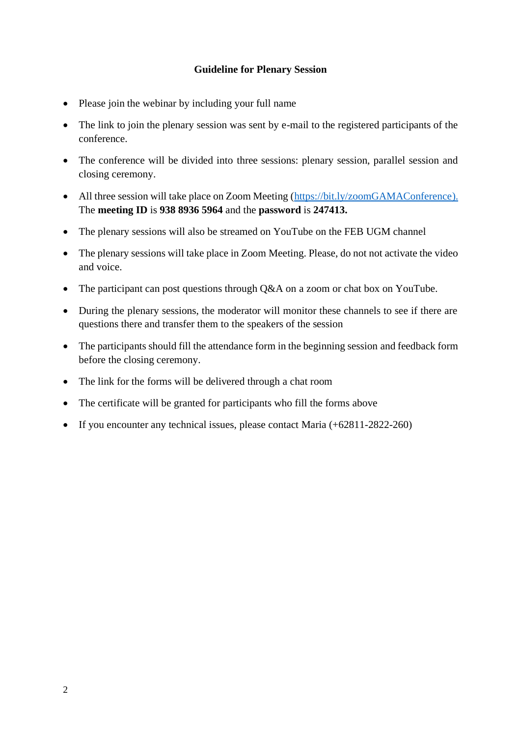#### **Guideline for Plenary Session**

- <span id="page-2-0"></span>• Please join the webinar by including your full name
- The link to join the plenary session was sent by e-mail to the registered participants of the conference.
- The conference will be divided into three sessions: plenary session, parallel session and closing ceremony.
- All three session will take place on Zoom Meeting (https://bit.ly/zoomGAMAConference). The **meeting ID** is **938 8936 5964** and the **password** is **247413.**
- The plenary sessions will also be streamed on YouTube on the FEB UGM channel
- The plenary sessions will take place in Zoom Meeting. Please, do not not activate the video and voice.
- The participant can post questions through Q&A on a zoom or chat box on YouTube.
- During the plenary sessions, the moderator will monitor these channels to see if there are questions there and transfer them to the speakers of the session
- The participants should fill the attendance form in the beginning session and feedback form before the closing ceremony.
- The link for the forms will be delivered through a chat room
- The certificate will be granted for participants who fill the forms above
- If you encounter any technical issues, please contact Maria (+62811-2822-260)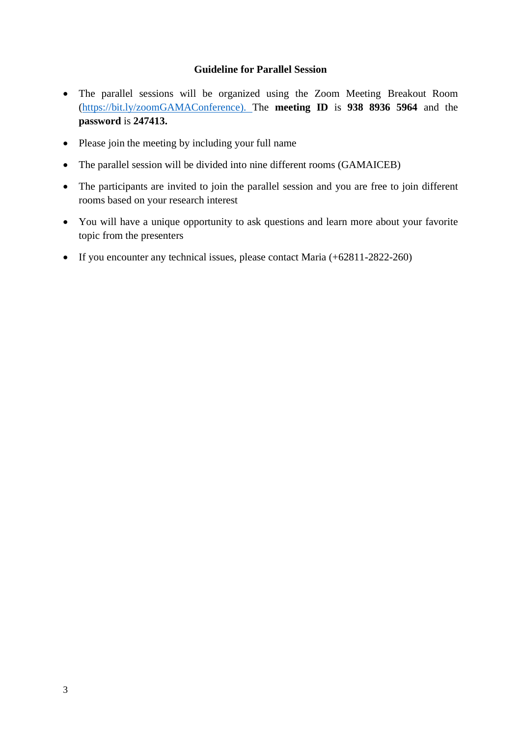#### **Guideline for Parallel Session**

- <span id="page-3-0"></span>• The parallel sessions will be organized using the Zoom Meeting Breakout Room (https://bit.ly/zoomGAMAConference). The **meeting ID** is **938 8936 5964** and the **password** is **247413.**
- Please join the meeting by including your full name
- The parallel session will be divided into nine different rooms (GAMAICEB)
- The participants are invited to join the parallel session and you are free to join different rooms based on your research interest
- You will have a unique opportunity to ask questions and learn more about your favorite topic from the presenters
- If you encounter any technical issues, please contact Maria (+62811-2822-260)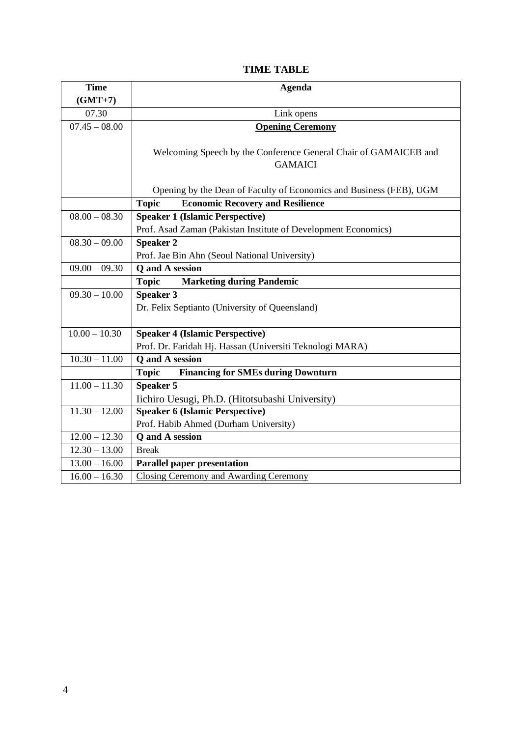#### **TIME TABLE**

| <b>Time</b>     | <b>Agenda</b>                                                       |
|-----------------|---------------------------------------------------------------------|
| $(GMT+7)$       |                                                                     |
| 07.30           | Link opens                                                          |
| $07.45 - 08.00$ | <b>Opening Ceremony</b>                                             |
|                 |                                                                     |
|                 | Welcoming Speech by the Conference General Chair of GAMAICEB and    |
|                 | <b>GAMAICI</b>                                                      |
|                 |                                                                     |
|                 | Opening by the Dean of Faculty of Economics and Business (FEB), UGM |
|                 | <b>Topic</b><br><b>Economic Recovery and Resilience</b>             |
| $08.00 - 08.30$ | <b>Speaker 1 (Islamic Perspective)</b>                              |
|                 | Prof. Asad Zaman (Pakistan Institute of Development Economics)      |
| $08.30 - 09.00$ | <b>Speaker 2</b>                                                    |
|                 | Prof. Jae Bin Ahn (Seoul National University)                       |
| $09.00 - 09.30$ | Q and A session                                                     |
|                 | <b>Topic</b><br><b>Marketing during Pandemic</b>                    |
| $09.30 - 10.00$ | <b>Speaker 3</b>                                                    |
|                 | Dr. Felix Septianto (University of Queensland)                      |
|                 |                                                                     |
| $10.00 - 10.30$ | <b>Speaker 4 (Islamic Perspective)</b>                              |
|                 | Prof. Dr. Faridah Hj. Hassan (Universiti Teknologi MARA)            |
| $10.30 - 11.00$ | <b>Q</b> and A session                                              |
|                 | <b>Financing for SMEs during Downturn</b><br><b>Topic</b>           |
| $11.00 - 11.30$ | <b>Speaker 5</b>                                                    |
|                 | Iichiro Uesugi, Ph.D. (Hitotsubashi University)                     |
| $11.30 - 12.00$ | <b>Speaker 6 (Islamic Perspective)</b>                              |
|                 | Prof. Habib Ahmed (Durham University)                               |
| $12.00 - 12.30$ | Q and A session                                                     |
| $12.30 - 13.00$ | <b>Break</b>                                                        |
| $13.00 - 16.00$ | <b>Parallel paper presentation</b>                                  |
| $16.00 - 16.30$ | Closing Ceremony and Awarding Ceremony                              |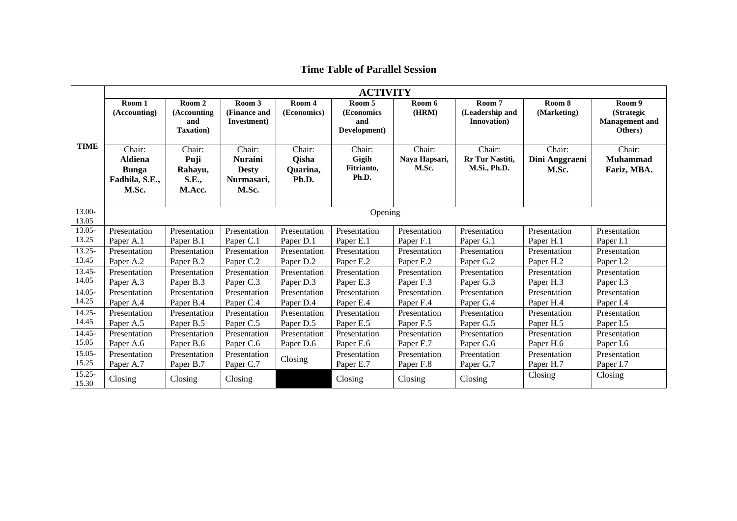|                    | <b>ACTIVITY</b>                                                     |                                                   |                                                                 |                                             |                                             |                                  |                                           |                                   |                                                          |
|--------------------|---------------------------------------------------------------------|---------------------------------------------------|-----------------------------------------------------------------|---------------------------------------------|---------------------------------------------|----------------------------------|-------------------------------------------|-----------------------------------|----------------------------------------------------------|
| <b>TIME</b>        | Room 1<br>(Accounting)                                              | Room 2<br>(Accounting<br>and<br><b>Taxation</b> ) | Room 3<br>(Finance and<br>Investment)                           | Room 4<br>(Economics)                       | Room 5<br>(Economics<br>and<br>Development) | Room 6<br>(HRM)                  | Room 7<br>(Leadership and<br>Innovation)  | Room 8<br>(Marketing)             | Room 9<br>(Strategic<br><b>Management</b> and<br>Others) |
|                    | Chair:<br><b>Aldiena</b><br><b>Bunga</b><br>Fadhila, S.E.,<br>M.Sc. | Chair:<br>Puji<br>Rahayu,<br>S.E.,<br>M.Acc.      | Chair:<br><b>Nuraini</b><br><b>Desty</b><br>Nurmasari,<br>M.Sc. | Chair:<br><b>Qisha</b><br>Quarina,<br>Ph.D. | Chair:<br>Gigih<br>Fitrianto,<br>Ph.D.      | Chair:<br>Naya Hapsari,<br>M.Sc. | Chair:<br>Rr Tur Nastiti,<br>M.Si., Ph.D. | Chair:<br>Dini Anggraeni<br>M.Sc. | Chair:<br><b>Muhammad</b><br>Fariz, MBA.                 |
| 13.00-<br>13.05    |                                                                     |                                                   |                                                                 |                                             | Opening                                     |                                  |                                           |                                   |                                                          |
| 13.05-             | Presentation                                                        | Presentation                                      | Presentation                                                    | Presentation                                | Presentation                                | Presentation                     | Presentation                              | Presentation                      | Presentation                                             |
| 13.25              | Paper A.1                                                           | Paper B.1                                         | Paper C.1                                                       | Paper D.1                                   | Paper E.1                                   | Paper F.1                        | Paper G.1                                 | Paper H.1                         | Paper I.1                                                |
| $13.25 -$          | Presentation                                                        | Presentation                                      | Presentation                                                    | Presentation                                | Presentation                                | Presentation                     | Presentation                              | Presentation                      | Presentation                                             |
| 13.45              | Paper A.2                                                           | Paper B.2                                         | Paper C.2                                                       | Paper D.2                                   | Paper E.2                                   | Paper F.2                        | Paper G.2                                 | Paper H.2                         | Paper I.2                                                |
| 13.45-             | Presentation                                                        | Presentation                                      | Presentation                                                    | Presentation                                | Presentation                                | Presentation                     | Presentation                              | Presentation                      | Presentation                                             |
| 14.05              | Paper A.3                                                           | Paper B.3                                         | Paper C.3                                                       | Paper D.3                                   | Paper E.3                                   | Paper F.3                        | Paper G.3                                 | Paper H.3                         | Paper I.3                                                |
| $14.05 -$          | Presentation                                                        | Presentation                                      | Presentation                                                    | Presentation                                | Presentation                                | Presentation                     | Presentation                              | Presentation                      | Presentation                                             |
| 14.25              | Paper A.4                                                           | Paper B.4                                         | Paper C.4                                                       | Paper D.4                                   | Paper E.4                                   | Paper F.4                        | Paper G.4                                 | Paper H.4                         | Paper I.4                                                |
| $14.25 -$          | Presentation                                                        | Presentation                                      | Presentation                                                    | Presentation                                | Presentation                                | Presentation                     | Presentation                              | Presentation                      | Presentation                                             |
| 14.45              | Paper A.5                                                           | Paper B.5                                         | Paper C.5                                                       | Paper D.5                                   | Paper E.5                                   | Paper F.5                        | Paper G.5                                 | Paper H.5                         | Paper I.5                                                |
| $14.45 -$          | Presentation                                                        | Presentation                                      | Presentation                                                    | Presentation                                | Presentation                                | Presentation                     | Presentation                              | Presentation                      | Presentation                                             |
| 15.05              | Paper A.6                                                           | Paper B.6                                         | Paper C.6                                                       | Paper D.6                                   | Paper E.6                                   | Paper F.7                        | Paper G.6                                 | Paper H.6                         | Paper I.6                                                |
| $15.05 -$          | Presentation                                                        | Presentation                                      | Presentation                                                    | Closing                                     | Presentation                                | Presentation                     | Preentation                               | Presentation                      | Presentation                                             |
| 15.25              | Paper A.7                                                           | Paper B.7                                         | Paper C.7                                                       |                                             | Paper E.7                                   | Paper F.8                        | Paper G.7                                 | Paper H.7                         | Paper I.7                                                |
| $15.25 -$<br>15.30 | Closing                                                             | Closing                                           | Closing                                                         |                                             | Closing                                     | Closing                          | Closing                                   | Closing                           | Closing                                                  |

**Time Table of Parallel Session**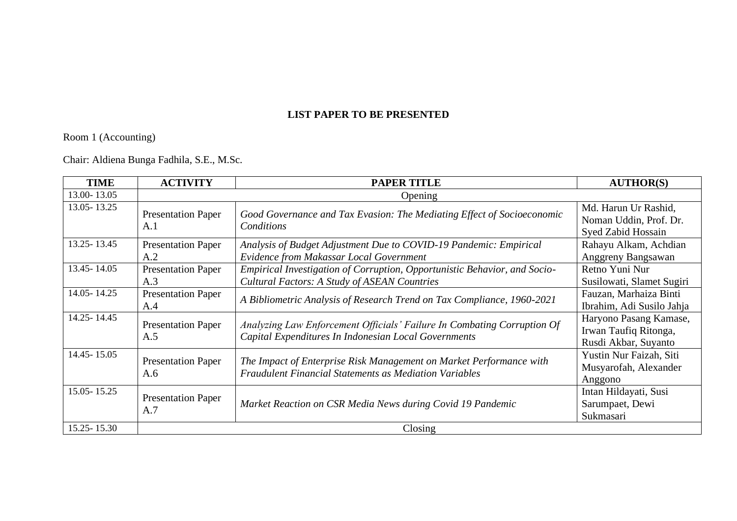#### **LIST PAPER TO BE PRESENTED**

Room 1 (Accounting)

Chair: Aldiena Bunga Fadhila, S.E., M.Sc.

| <b>TIME</b>   | <b>ACTIVITY</b>                  | <b>PAPER TITLE</b>                                                                                                                   | <b>AUTHOR(S)</b>                                                        |  |  |  |
|---------------|----------------------------------|--------------------------------------------------------------------------------------------------------------------------------------|-------------------------------------------------------------------------|--|--|--|
| 13.00-13.05   |                                  | Opening                                                                                                                              |                                                                         |  |  |  |
| 13.05 - 13.25 | <b>Presentation Paper</b><br>A.1 | Good Governance and Tax Evasion: The Mediating Effect of Socioeconomic<br>Conditions                                                 | Md. Harun Ur Rashid,<br>Noman Uddin, Prof. Dr.<br>Syed Zabid Hossain    |  |  |  |
| 13.25 - 13.45 | <b>Presentation Paper</b><br>A.2 | Analysis of Budget Adjustment Due to COVID-19 Pandemic: Empirical<br>Evidence from Makassar Local Government                         | Rahayu Alkam, Achdian<br>Anggreny Bangsawan                             |  |  |  |
| 13.45 - 14.05 | <b>Presentation Paper</b><br>A.3 | Empirical Investigation of Corruption, Opportunistic Behavior, and Socio-<br><b>Cultural Factors: A Study of ASEAN Countries</b>     | Retno Yuni Nur<br>Susilowati, Slamet Sugiri                             |  |  |  |
| 14.05 - 14.25 | <b>Presentation Paper</b><br>A.4 | A Bibliometric Analysis of Research Trend on Tax Compliance, 1960-2021                                                               | Fauzan, Marhaiza Binti<br>Ibrahim, Adi Susilo Jahja                     |  |  |  |
| 14.25 - 14.45 | <b>Presentation Paper</b><br>A.5 | Analyzing Law Enforcement Officials' Failure In Combating Corruption Of<br>Capital Expenditures In Indonesian Local Governments      | Haryono Pasang Kamase,<br>Irwan Taufiq Ritonga,<br>Rusdi Akbar, Suyanto |  |  |  |
| 14.45 - 15.05 | <b>Presentation Paper</b><br>A.6 | The Impact of Enterprise Risk Management on Market Performance with<br><b>Fraudulent Financial Statements as Mediation Variables</b> | Yustin Nur Faizah, Siti<br>Musyarofah, Alexander<br>Anggono             |  |  |  |
| 15.05 - 15.25 | <b>Presentation Paper</b><br>A.7 | Market Reaction on CSR Media News during Covid 19 Pandemic                                                                           | Intan Hildayati, Susi<br>Sarumpaet, Dewi<br>Sukmasari                   |  |  |  |
| 15.25 - 15.30 |                                  | Closing                                                                                                                              |                                                                         |  |  |  |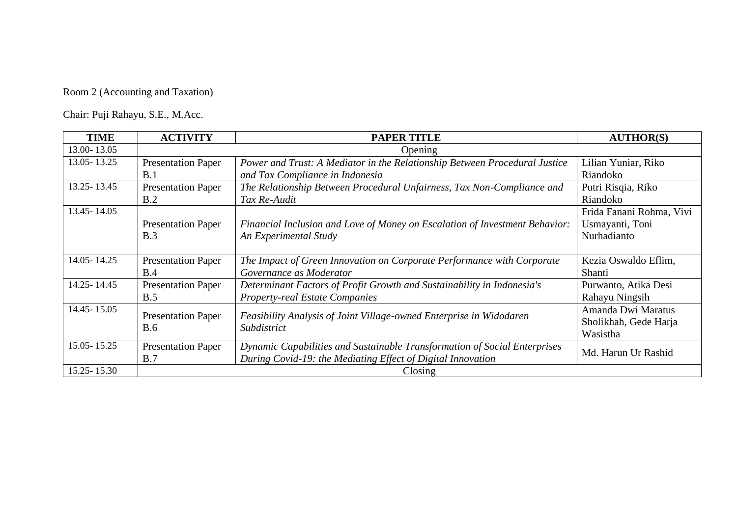## Room 2 (Accounting and Taxation)

Chair: Puji Rahayu, S.E., M.Acc.

| <b>TIME</b>   | <b>ACTIVITY</b>                         | <b>PAPER TITLE</b>                                                                 | <b>AUTHOR(S)</b>         |
|---------------|-----------------------------------------|------------------------------------------------------------------------------------|--------------------------|
| 13.00-13.05   |                                         | Opening                                                                            |                          |
| 13.05 - 13.25 | <b>Presentation Paper</b>               | Power and Trust: A Mediator in the Relationship Between Procedural Justice         | Lilian Yuniar, Riko      |
|               | B.1                                     | and Tax Compliance in Indonesia                                                    | Riandoko                 |
| 13.25 - 13.45 | <b>Presentation Paper</b>               | The Relationship Between Procedural Unfairness, Tax Non-Compliance and             | Putri Risqia, Riko       |
|               | B.2                                     | Tax Re-Audit                                                                       | Riandoko                 |
| 13.45 - 14.05 |                                         |                                                                                    | Frida Fanani Rohma, Vivi |
|               | <b>Presentation Paper</b>               | Financial Inclusion and Love of Money on Escalation of Investment Behavior:        | Usmayanti, Toni          |
|               | B.3                                     | An Experimental Study                                                              | Nurhadianto              |
|               |                                         |                                                                                    |                          |
| 14.05 - 14.25 | <b>Presentation Paper</b>               | The Impact of Green Innovation on Corporate Performance with Corporate             | Kezia Oswaldo Eflim,     |
|               | B.4                                     | Governance as Moderator                                                            | Shanti                   |
| 14.25 - 14.45 | <b>Presentation Paper</b>               | Determinant Factors of Profit Growth and Sustainability in Indonesia's             | Purwanto, Atika Desi     |
|               | B.5                                     | <b>Property-real Estate Companies</b>                                              | Rahayu Ningsih           |
| 14.45 - 15.05 |                                         |                                                                                    | Amanda Dwi Maratus       |
|               | <b>Presentation Paper</b><br><b>B.6</b> | Feasibility Analysis of Joint Village-owned Enterprise in Widodaren<br>Subdistrict | Sholikhah, Gede Harja    |
|               |                                         |                                                                                    | Wasistha                 |
| 15.05 - 15.25 | <b>Presentation Paper</b>               | Dynamic Capabilities and Sustainable Transformation of Social Enterprises          |                          |
|               | B.7                                     | During Covid-19: the Mediating Effect of Digital Innovation                        | Md. Harun Ur Rashid      |
| 15.25 - 15.30 |                                         | Closing                                                                            |                          |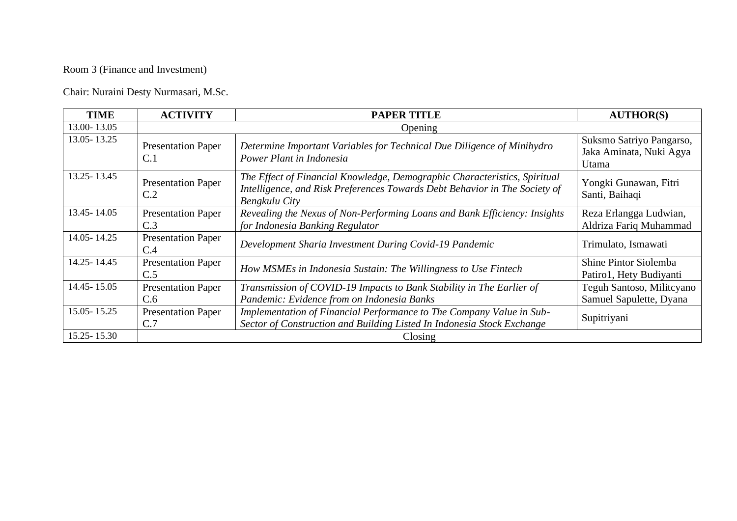## Room 3 (Finance and Investment)

Chair: Nuraini Desty Nurmasari, M.Sc.

| <b>TIME</b>     | <b>ACTIVITY</b>                  | <b>PAPER TITLE</b>                                                                                                                                                       | <b>AUTHOR(S)</b>                                             |  |  |  |
|-----------------|----------------------------------|--------------------------------------------------------------------------------------------------------------------------------------------------------------------------|--------------------------------------------------------------|--|--|--|
| 13.00-13.05     |                                  | Opening                                                                                                                                                                  |                                                              |  |  |  |
| 13.05 - 13.25   | <b>Presentation Paper</b><br>C.1 | Determine Important Variables for Technical Due Diligence of Minihydro<br>Power Plant in Indonesia                                                                       | Suksmo Satriyo Pangarso,<br>Jaka Aminata, Nuki Agya<br>Utama |  |  |  |
| 13.25 - 13.45   | <b>Presentation Paper</b><br>C.2 | The Effect of Financial Knowledge, Demographic Characteristics, Spiritual<br>Intelligence, and Risk Preferences Towards Debt Behavior in The Society of<br>Bengkulu City | Yongki Gunawan, Fitri<br>Santi, Baihaqi                      |  |  |  |
| 13.45 - 14.05   | <b>Presentation Paper</b><br>C.3 | Revealing the Nexus of Non-Performing Loans and Bank Efficiency: Insights<br>for Indonesia Banking Regulator                                                             | Reza Erlangga Ludwian,<br>Aldriza Fariq Muhammad             |  |  |  |
| 14.05 - 14.25   | <b>Presentation Paper</b><br>C.4 | Development Sharia Investment During Covid-19 Pandemic                                                                                                                   | Trimulato, Ismawati                                          |  |  |  |
| 14.25 - 14.45   | <b>Presentation Paper</b><br>C.5 | How MSMEs in Indonesia Sustain: The Willingness to Use Fintech                                                                                                           | Shine Pintor Siolemba<br>Patiro1, Hety Budiyanti             |  |  |  |
| 14.45 - 15.05   | <b>Presentation Paper</b><br>C.6 | Transmission of COVID-19 Impacts to Bank Stability in The Earlier of<br>Pandemic: Evidence from on Indonesia Banks                                                       | Teguh Santoso, Militcyano<br>Samuel Sapulette, Dyana         |  |  |  |
| $15.05 - 15.25$ | <b>Presentation Paper</b><br>C.7 | Implementation of Financial Performance to The Company Value in Sub-<br>Sector of Construction and Building Listed In Indonesia Stock Exchange                           | Supitriyani                                                  |  |  |  |
| 15.25 - 15.30   |                                  | Closing                                                                                                                                                                  |                                                              |  |  |  |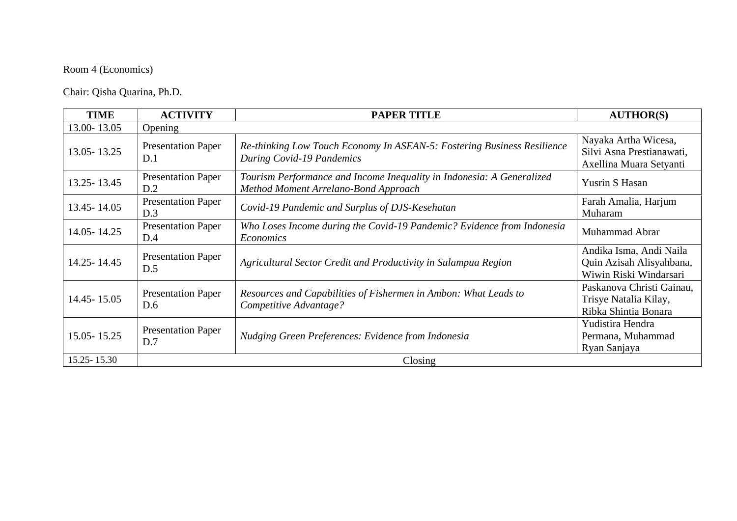### Room 4 (Economics)

Chair: Qisha Quarina, Ph.D.

| <b>TIME</b>   | <b>ACTIVITY</b>                  | <b>PAPER TITLE</b>                                                                                            | <b>AUTHOR(S)</b>                                                              |
|---------------|----------------------------------|---------------------------------------------------------------------------------------------------------------|-------------------------------------------------------------------------------|
| 13.00-13.05   | Opening                          |                                                                                                               |                                                                               |
| 13.05 - 13.25 | <b>Presentation Paper</b><br>D.1 | Re-thinking Low Touch Economy In ASEAN-5: Fostering Business Resilience<br>During Covid-19 Pandemics          | Nayaka Artha Wicesa,<br>Silvi Asna Prestianawati,<br>Axellina Muara Setyanti  |
| 13.25 - 13.45 | <b>Presentation Paper</b><br>D.2 | Tourism Performance and Income Inequality in Indonesia: A Generalized<br>Method Moment Arrelano-Bond Approach | <b>Yusrin S Hasan</b>                                                         |
| 13.45 - 14.05 | <b>Presentation Paper</b><br>D.3 | Covid-19 Pandemic and Surplus of DJS-Kesehatan                                                                | Farah Amalia, Harjum<br>Muharam                                               |
| 14.05 - 14.25 | <b>Presentation Paper</b><br>D.4 | Who Loses Income during the Covid-19 Pandemic? Evidence from Indonesia<br><i>Economics</i>                    | Muhammad Abrar                                                                |
| 14.25 - 14.45 | <b>Presentation Paper</b><br>D.5 | Agricultural Sector Credit and Productivity in Sulampua Region                                                | Andika Isma, Andi Naila<br>Quin Azisah Alisyahbana,<br>Wiwin Riski Windarsari |
| 14.45 - 15.05 | <b>Presentation Paper</b><br>D.6 | Resources and Capabilities of Fishermen in Ambon: What Leads to<br>Competitive Advantage?                     | Paskanova Christi Gainau,<br>Trisye Natalia Kilay,<br>Ribka Shintia Bonara    |
| 15.05 - 15.25 | <b>Presentation Paper</b><br>D.7 | Nudging Green Preferences: Evidence from Indonesia                                                            | Yudistira Hendra<br>Permana, Muhammad<br>Ryan Sanjaya                         |
| 15.25 - 15.30 |                                  | Closing                                                                                                       |                                                                               |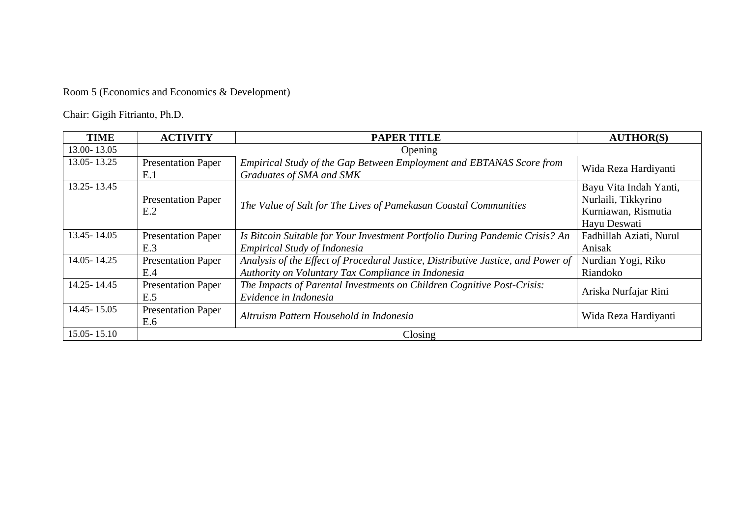## Room 5 (Economics and Economics & Development)

Chair: Gigih Fitrianto, Ph.D.

| <b>TIME</b>   | <b>ACTIVITY</b>                  | <b>PAPER TITLE</b>                                                                                                                     | <b>AUTHOR(S)</b>                                                                     |
|---------------|----------------------------------|----------------------------------------------------------------------------------------------------------------------------------------|--------------------------------------------------------------------------------------|
| 13.00-13.05   |                                  | Opening                                                                                                                                |                                                                                      |
| 13.05 - 13.25 | <b>Presentation Paper</b><br>E.1 | Empirical Study of the Gap Between Employment and EBTANAS Score from<br>Graduates of SMA and SMK                                       | Wida Reza Hardiyanti                                                                 |
| 13.25 - 13.45 | <b>Presentation Paper</b><br>E.2 | The Value of Salt for The Lives of Pamekasan Coastal Communities                                                                       | Bayu Vita Indah Yanti,<br>Nurlaili, Tikkyrino<br>Kurniawan, Rismutia<br>Hayu Deswati |
| 13.45 - 14.05 | <b>Presentation Paper</b><br>E.3 | Is Bitcoin Suitable for Your Investment Portfolio During Pandemic Crisis? An<br>Empirical Study of Indonesia                           | Fadhillah Aziati, Nurul<br>Anisak                                                    |
| 14.05 - 14.25 | <b>Presentation Paper</b><br>E.4 | Analysis of the Effect of Procedural Justice, Distributive Justice, and Power of<br>Authority on Voluntary Tax Compliance in Indonesia | Nurdian Yogi, Riko<br>Riandoko                                                       |
| 14.25 - 14.45 | <b>Presentation Paper</b><br>E.5 | The Impacts of Parental Investments on Children Cognitive Post-Crisis:<br>Evidence in Indonesia                                        | Ariska Nurfajar Rini                                                                 |
| 14.45 - 15.05 | <b>Presentation Paper</b><br>E.6 | Altruism Pattern Household in Indonesia                                                                                                | Wida Reza Hardiyanti                                                                 |
| 15.05 - 15.10 |                                  | Closing                                                                                                                                |                                                                                      |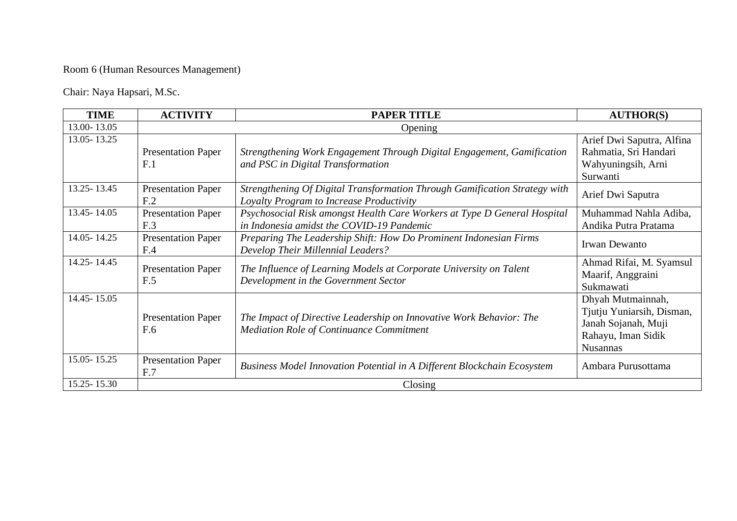### Room 6 (Human Resources Management)

Chair: Naya Hapsari, M.Sc.

| <b>TIME</b>   | <b>ACTIVITY</b>                              | <b>PAPER TITLE</b>                                                                                                     | <b>AUTHOR(S)</b>                                                                                               |
|---------------|----------------------------------------------|------------------------------------------------------------------------------------------------------------------------|----------------------------------------------------------------------------------------------------------------|
| 13.00-13.05   |                                              | Opening                                                                                                                |                                                                                                                |
| 13.05 - 13.25 | <b>Presentation Paper</b><br>F.1             | Strengthening Work Engagement Through Digital Engagement, Gamification<br>and PSC in Digital Transformation            | Arief Dwi Saputra, Alfina<br>Rahmatia, Sri Handari<br>Wahyuningsih, Arni<br>Surwanti                           |
| 13.25 - 13.45 | <b>Presentation Paper</b><br>F <sub>.2</sub> | Strengthening Of Digital Transformation Through Gamification Strategy with<br>Loyalty Program to Increase Productivity | Arief Dwi Saputra                                                                                              |
| 13.45 - 14.05 | <b>Presentation Paper</b><br>F.3             | Psychosocial Risk amongst Health Care Workers at Type D General Hospital<br>in Indonesia amidst the COVID-19 Pandemic  | Muhammad Nahla Adiba,<br>Andika Putra Pratama                                                                  |
| 14.05 - 14.25 | <b>Presentation Paper</b><br>F.4             | Preparing The Leadership Shift: How Do Prominent Indonesian Firms<br>Develop Their Millennial Leaders?                 | Irwan Dewanto                                                                                                  |
| 14.25 - 14.45 | <b>Presentation Paper</b><br>F.5             | The Influence of Learning Models at Corporate University on Talent<br>Development in the Government Sector             | Ahmad Rifai, M. Syamsul<br>Maarif, Anggraini<br>Sukmawati                                                      |
| 14.45 - 15.05 | <b>Presentation Paper</b><br>F.6             | The Impact of Directive Leadership on Innovative Work Behavior: The<br><b>Mediation Role of Continuance Commitment</b> | Dhyah Mutmainnah,<br>Tjutju Yuniarsih, Disman,<br>Janah Sojanah, Muji<br>Rahayu, Iman Sidik<br><b>Nusannas</b> |
| 15.05 - 15.25 | <b>Presentation Paper</b><br>F.7             | <b>Business Model Innovation Potential in A Different Blockchain Ecosystem</b>                                         | Ambara Purusottama                                                                                             |
| 15.25 - 15.30 |                                              | Closing                                                                                                                |                                                                                                                |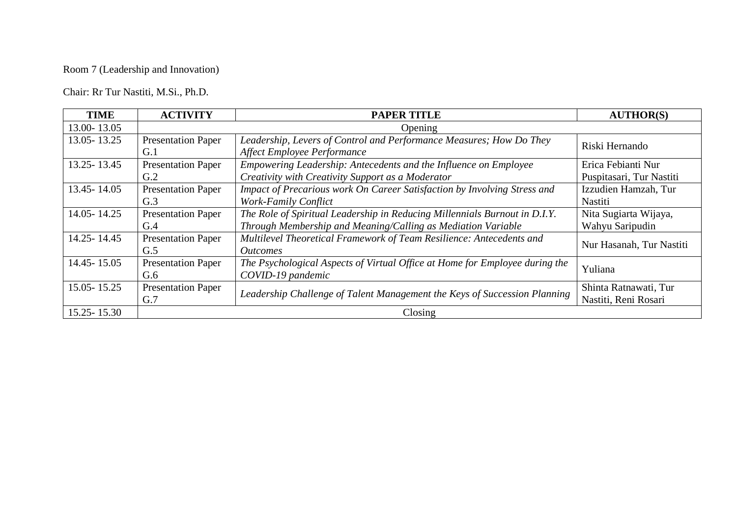### Room 7 (Leadership and Innovation)

Chair: Rr Tur Nastiti, M.Si., Ph.D.

| <b>TIME</b>     | <b>ACTIVITY</b>                  | <b>PAPER TITLE</b>                                                                                                                         | <b>AUTHOR(S)</b>                               |
|-----------------|----------------------------------|--------------------------------------------------------------------------------------------------------------------------------------------|------------------------------------------------|
| 13.00-13.05     |                                  | Opening                                                                                                                                    |                                                |
| 13.05 - 13.25   | <b>Presentation Paper</b><br>G.1 | Leadership, Levers of Control and Performance Measures; How Do They<br>Affect Employee Performance                                         | Riski Hernando                                 |
| 13.25 - 13.45   | <b>Presentation Paper</b><br>G.2 | Empowering Leadership: Antecedents and the Influence on Employee<br>Creativity with Creativity Support as a Moderator                      | Erica Febianti Nur<br>Puspitasari, Tur Nastiti |
| 13.45 - 14.05   | <b>Presentation Paper</b><br>G.3 | Impact of Precarious work On Career Satisfaction by Involving Stress and<br><b>Work-Family Conflict</b>                                    | Izzudien Hamzah, Tur<br>Nastiti                |
| 14.05 - 14.25   | <b>Presentation Paper</b><br>G.4 | The Role of Spiritual Leadership in Reducing Millennials Burnout in D.I.Y.<br>Through Membership and Meaning/Calling as Mediation Variable | Nita Sugiarta Wijaya,<br>Wahyu Saripudin       |
| 14.25 - 14.45   | <b>Presentation Paper</b><br>G.5 | Multilevel Theoretical Framework of Team Resilience: Antecedents and<br><i><u>Outcomes</u></i>                                             | Nur Hasanah, Tur Nastiti                       |
| 14.45 - 15.05   | <b>Presentation Paper</b><br>G.6 | The Psychological Aspects of Virtual Office at Home for Employee during the<br>COVID-19 pandemic                                           | Yuliana                                        |
| $15.05 - 15.25$ | <b>Presentation Paper</b><br>G.7 | Leadership Challenge of Talent Management the Keys of Succession Planning                                                                  | Shinta Ratnawati, Tur<br>Nastiti, Reni Rosari  |
| $15.25 - 15.30$ |                                  | Closing                                                                                                                                    |                                                |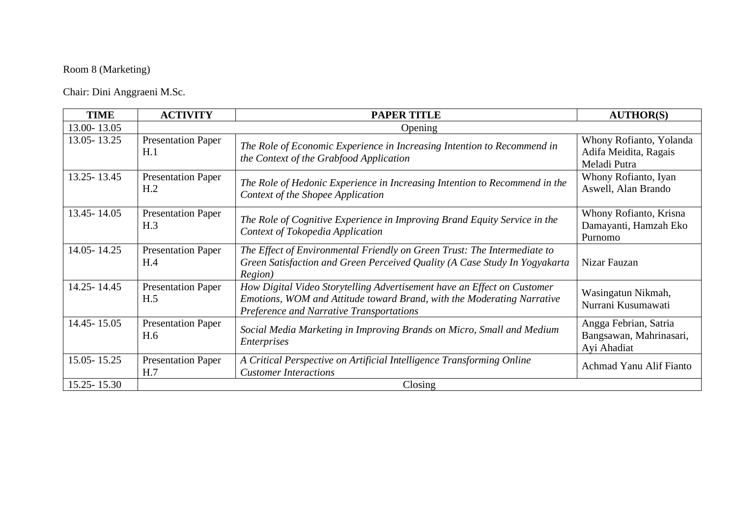### Room 8 (Marketing)

Chair: Dini Anggraeni M.Sc.

| <b>TIME</b>   | <b>ACTIVITY</b>                              | <b>PAPER TITLE</b>                                                                                                                                                                            | <b>AUTHOR(S)</b>                                                 |
|---------------|----------------------------------------------|-----------------------------------------------------------------------------------------------------------------------------------------------------------------------------------------------|------------------------------------------------------------------|
| 13.00-13.05   |                                              | Opening                                                                                                                                                                                       |                                                                  |
| 13.05 - 13.25 | <b>Presentation Paper</b><br>H.1             | The Role of Economic Experience in Increasing Intention to Recommend in<br>the Context of the Grabfood Application                                                                            | Whony Rofianto, Yolanda<br>Adifa Meidita, Ragais<br>Meladi Putra |
| 13.25 - 13.45 | <b>Presentation Paper</b><br>H <sub>.2</sub> | The Role of Hedonic Experience in Increasing Intention to Recommend in the<br>Context of the Shopee Application                                                                               | Whony Rofianto, Iyan<br>Aswell, Alan Brando                      |
| 13.45 - 14.05 | <b>Presentation Paper</b><br>H.3             | The Role of Cognitive Experience in Improving Brand Equity Service in the<br>Context of Tokopedia Application                                                                                 | Whony Rofianto, Krisna<br>Damayanti, Hamzah Eko<br>Purnomo       |
| 14.05 - 14.25 | <b>Presentation Paper</b><br>H.4             | The Effect of Environmental Friendly on Green Trust: The Intermediate to<br>Green Satisfaction and Green Perceived Quality (A Case Study In Yogyakarta<br>Region)                             | Nizar Fauzan                                                     |
| 14.25 - 14.45 | <b>Presentation Paper</b><br>H.5             | How Digital Video Storytelling Advertisement have an Effect on Customer<br>Emotions, WOM and Attitude toward Brand, with the Moderating Narrative<br>Preference and Narrative Transportations | Wasingatun Nikmah,<br>Nurrani Kusumawati                         |
| 14.45 - 15.05 | <b>Presentation Paper</b><br>H.6             | Social Media Marketing in Improving Brands on Micro, Small and Medium<br><i>Enterprises</i>                                                                                                   | Angga Febrian, Satria<br>Bangsawan, Mahrinasari,<br>Ayi Ahadiat  |
| 15.05 - 15.25 | <b>Presentation Paper</b><br>H.7             | A Critical Perspective on Artificial Intelligence Transforming Online<br><b>Customer Interactions</b>                                                                                         | Achmad Yanu Alif Fianto                                          |
| 15.25 - 15.30 |                                              | Closing                                                                                                                                                                                       |                                                                  |